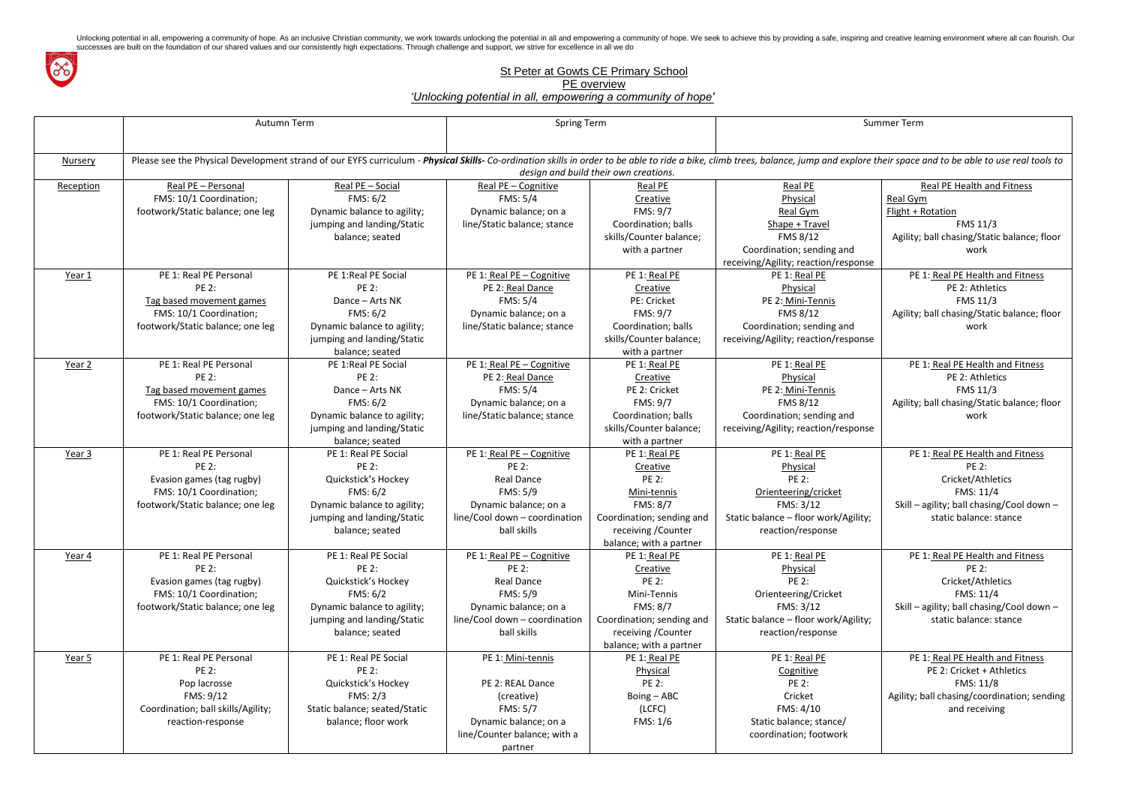

## St Peter at Gowts CE Primary School

PE overview

*'Unlocking potential in all, empowering a community of hope'*

plore their space and to be able to use real tools to ponse Real PE Health and Fitness Real Gym Flight + Rotation FMS 11/3 Agility; ball chasing/Static balance; floor work ponse PE 1: Real PE Health and Fitness PE 2: Athletics FMS 11/3 Agility; ball chasing/Static balance; floor work ponse PE 1: Real PE Health and Fitness PE 2: Athletics FMS 11/3 Agility; ball chasing/Static balance; floor work gility; PE 1: Real PE Health and Fitness PE 2: Cricket/Athletics FMS: 11/4 Skill – agility; ball chasing/Cool down – static balance: stance gility; PE 1: Real PE Health and Fitness PE 2: Cricket/Athletics FMS: 11/4 Skill – agility; ball chasing/Cool down – static balance: stance PE 1: Real PE Health and Fitness PE 2: Cricket + Athletics FMS: 11/8 Agility; ball chasing/coordination; sending and receiving

|                   | Autumn Term                                                                                                                                                                                                                               |                                                                                          | <b>Spring Term</b>                                                                                |                                                                                                | <b>Summer Term</b>                                                                              |                                 |  |  |  |  |
|-------------------|-------------------------------------------------------------------------------------------------------------------------------------------------------------------------------------------------------------------------------------------|------------------------------------------------------------------------------------------|---------------------------------------------------------------------------------------------------|------------------------------------------------------------------------------------------------|-------------------------------------------------------------------------------------------------|---------------------------------|--|--|--|--|
| <b>Nursery</b>    | Please see the Physical Development strand of our EYFS curriculum - Physical Skills- Co-ordination skills in order to be able to ride a bike, climb trees, balance, jump and explore their space<br>design and build their own creations. |                                                                                          |                                                                                                   |                                                                                                |                                                                                                 |                                 |  |  |  |  |
| Reception         | Real PE - Personal                                                                                                                                                                                                                        | Real PE - Social                                                                         | Real PE - Cognitive                                                                               | Real PE                                                                                        | Real PE                                                                                         |                                 |  |  |  |  |
|                   | FMS: 10/1 Coordination;<br>footwork/Static balance; one leg                                                                                                                                                                               | FMS: 6/2<br>Dynamic balance to agility;                                                  | <b>FMS: 5/4</b><br>Dynamic balance; on a                                                          | Creative<br>FMS: 9/7                                                                           | Physical<br>Real Gym                                                                            | <b>Real Gyr</b><br>$Flight + F$ |  |  |  |  |
|                   |                                                                                                                                                                                                                                           | jumping and landing/Static<br>balance; seated                                            | line/Static balance; stance                                                                       | Coordination; balls<br>skills/Counter balance;<br>with a partner                               | Shape + Travel<br>FMS 8/12<br>Coordination; sending and<br>receiving/Agility; reaction/response | Agility;                        |  |  |  |  |
| Year 1            | PE 1: Real PE Personal<br><b>PE 2:</b><br>Tag based movement games                                                                                                                                                                        | PE 1:Real PE Social<br><b>PE 2:</b><br>Dance - Arts NK                                   | PE 1: Real PE - Cognitive<br>PE 2: Real Dance<br><b>FMS: 5/4</b>                                  | PE 1: Real PE<br>Creative<br>PE: Cricket                                                       | PE 1: Real PE<br>Physical<br>PE 2: Mini-Tennis                                                  | PE                              |  |  |  |  |
|                   | FMS: 10/1 Coordination;<br>footwork/Static balance; one leg                                                                                                                                                                               | FMS: 6/2<br>Dynamic balance to agility;<br>jumping and landing/Static<br>balance; seated | Dynamic balance; on a<br>line/Static balance; stance                                              | <b>FMS: 9/7</b><br>Coordination; balls<br>skills/Counter balance;<br>with a partner            | <b>FMS 8/12</b><br>Coordination; sending and<br>receiving/Agility; reaction/response            | Agility;                        |  |  |  |  |
| Year <sub>2</sub> | PE 1: Real PE Personal<br><b>PE 2:</b><br>Tag based movement games<br>FMS: 10/1 Coordination;                                                                                                                                             | PE 1: Real PE Social<br><b>PE 2:</b><br>Dance - Arts NK<br>FMS: 6/2                      | PE 1: Real PE - Cognitive<br>PE 2: Real Dance<br><b>FMS: 5/4</b>                                  | PE 1: Real PE<br>Creative<br>PE 2: Cricket<br><b>FMS: 9/7</b>                                  | PE 1: Real PE<br>Physical<br>PE 2: Mini-Tennis<br>FMS 8/12                                      | PE                              |  |  |  |  |
|                   | footwork/Static balance; one leg                                                                                                                                                                                                          | Dynamic balance to agility;<br>jumping and landing/Static<br>balance; seated             | Dynamic balance; on a<br>line/Static balance; stance                                              | Coordination; balls<br>skills/Counter balance;<br>with a partner                               | Coordination; sending and<br>receiving/Agility; reaction/response                               | Agility;                        |  |  |  |  |
| Year 3            | PE 1: Real PE Personal<br><b>PE 2:</b><br>Evasion games (tag rugby)<br>FMS: 10/1 Coordination;                                                                                                                                            | PE 1: Real PE Social<br><b>PE 2:</b><br>Quickstick's Hockey<br>FMS: 6/2                  | PE 1: Real PE - Cognitive<br><b>PE 2:</b><br><b>Real Dance</b><br><b>FMS: 5/9</b>                 | PE 1: Real PE<br>Creative<br><b>PE 2:</b><br>Mini-tennis                                       | PE 1: Real PE<br>Physical<br><b>PE 2:</b><br>Orienteering/cricket                               | PE                              |  |  |  |  |
|                   | footwork/Static balance; one leg                                                                                                                                                                                                          | Dynamic balance to agility;<br>jumping and landing/Static<br>balance; seated             | Dynamic balance; on a<br>line/Cool down - coordination<br>ball skills                             | <b>FMS: 8/7</b><br>Coordination; sending and<br>receiving / Counter<br>balance; with a partner | FMS: 3/12<br>Static balance - floor work/Agility;<br>reaction/response                          | $Skill -$                       |  |  |  |  |
| Year 4            | PE 1: Real PE Personal<br><b>PE 2:</b><br>Evasion games (tag rugby)<br>FMS: 10/1 Coordination;                                                                                                                                            | PE 1: Real PE Social<br><b>PE 2:</b><br>Quickstick's Hockey<br>FMS: 6/2                  | PE 1: Real PE - Cognitive<br><b>PE 2:</b><br><b>Real Dance</b><br>FMS: 5/9                        | PE 1: Real PE<br>Creative<br><b>PE 2:</b><br>Mini-Tennis                                       | PE 1: Real PE<br>Physical<br><b>PE 2:</b><br>Orienteering/Cricket                               | PE                              |  |  |  |  |
|                   | footwork/Static balance; one leg                                                                                                                                                                                                          | Dynamic balance to agility;<br>jumping and landing/Static<br>balance; seated             | Dynamic balance; on a<br>line/Cool down - coordination<br>ball skills                             | <b>FMS: 8/7</b><br>Coordination; sending and<br>receiving / Counter<br>balance; with a partner | FMS: 3/12<br>Static balance - floor work/Agility;<br>reaction/response                          | $Skill -$                       |  |  |  |  |
| Year 5            | PE 1: Real PE Personal<br><b>PE 2:</b><br>Pop lacrosse                                                                                                                                                                                    | PE 1: Real PE Social<br><b>PE 2:</b><br>Quickstick's Hockey                              | PE 1: Mini-tennis<br>PE 2: REAL Dance                                                             | PE 1: Real PE<br>Physical<br><b>PE 2:</b>                                                      | PE 1: Real PE<br>Cognitive<br><b>PE 2:</b>                                                      | PE                              |  |  |  |  |
|                   | FMS: 9/12<br>Coordination; ball skills/Agility;<br>reaction-response                                                                                                                                                                      | FMS: 2/3<br>Static balance; seated/Static<br>balance; floor work                         | (creative)<br><b>FMS: 5/7</b><br>Dynamic balance; on a<br>line/Counter balance; with a<br>partner | Boing - ABC<br>(LCFC)<br>FMS: 1/6                                                              | Cricket<br>FMS: 4/10<br>Static balance; stance/<br>coordination; footwork                       | Agility; b                      |  |  |  |  |